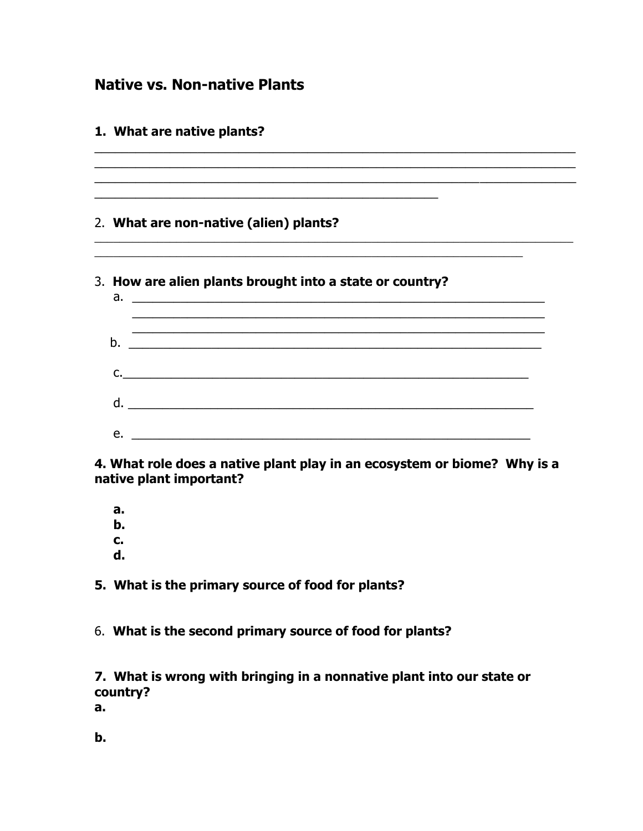# **Native vs. Non-native Plants**

| 1. What are native plants?                                                                                                           |  |
|--------------------------------------------------------------------------------------------------------------------------------------|--|
| 2. What are non-native (alien) plants?                                                                                               |  |
| 3. How are alien plants brought into a state or country?                                                                             |  |
| $b_{\cdot}$<br><u> 2000 - Jan James James James James James James James James James James James James James James James James Ja</u> |  |
| C.                                                                                                                                   |  |
|                                                                                                                                      |  |
| e.<br><u> 2000 - Jan Barnett, mars et al. 1980 - personal et al. 1980 - personal et al. 1980 - personal et al. 1980 - p</u>          |  |

4. What role does a native plant play in an ecosystem or biome? Why is a native plant important?

 $a<sub>r</sub>$ b.  $\mathbf{c}$ .  $\mathbf d$ 

5. What is the primary source of food for plants?

6. What is the second primary source of food for plants?

7. What is wrong with bringing in a nonnative plant into our state or country?

 $a_{\cdot}$ 

b.